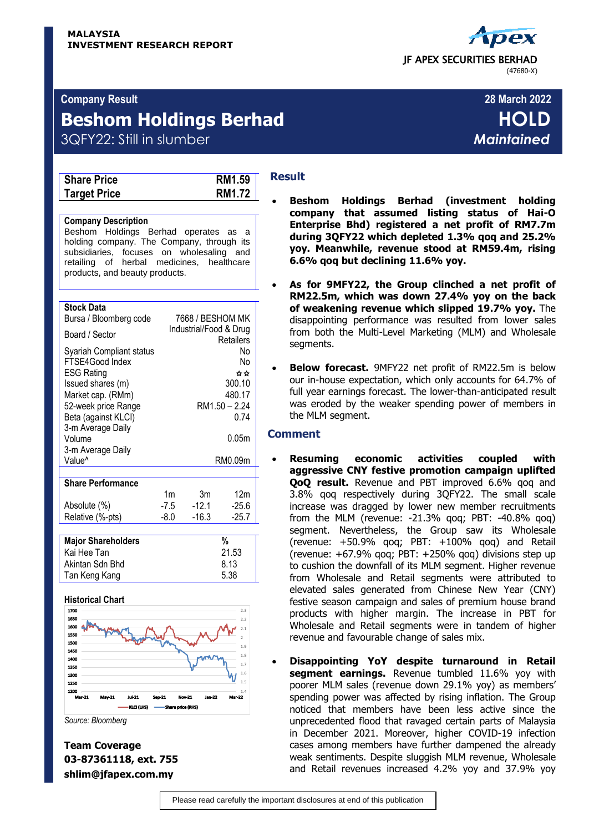

# **Company Result 28 March 2022**

# **Beshom Holdings Berhad HOLD**

3QFY22: Still in slumber *Maintained*

| <b>RM1.59</b> |
|---------------|
| RM1.72        |
|               |

### **Company Description**

Beshom Holdings Berhad operates as a holding company. The Company, through its subsidiaries, focuses on wholesaling and retailing of herbal medicines, healthcare products, and beauty products.

#### **Stock Data**

| <b>Major Shareholders</b>                   |      |                        | %             |
|---------------------------------------------|------|------------------------|---------------|
|                                             |      |                        |               |
| Relative (%-pts)                            | -8.0 | $-16.3$                | $-25.7$       |
| Absolute (%)                                | -7.5 | $-12.1$                | $-25.6$       |
| <b>Share Performance</b>                    | 1m   | 3m                     | 12m           |
|                                             |      |                        |               |
| 3-m Average Daily<br>Value <sup>^</sup>     |      |                        | RM0.09m       |
| 3-m Average Daily<br>Volume                 |      |                        | 0.05m         |
| Beta (against KLCI)                         |      |                        | 0.74          |
| 52-week price Range                         |      |                        | RM1.50 - 2.24 |
| Market cap. (RMm)                           |      |                        | 480.17        |
| <b>ESG Rating</b><br>Issued shares (m)      |      |                        | ☆☆<br>300.10  |
| Syariah Compliant status<br>FTSE4Good Index |      |                        | No<br>No      |
| Board / Sector                              |      | Industrial/Food & Drug | Retailers     |
| שטשע טעש<br>Bursa / Bloomberg code          |      | 7668 / BESHOM MK       |               |

| Kai Hee Tan     | 21.53 |
|-----------------|-------|
| Akintan Sdn Bhd | 8.13  |
| Tan Keng Kang   | 5.38  |
|                 |       |

#### **Historical Chart**



*Source: Bloomberg*

# **Result**

- **Beshom Holdings Berhad (investment holding company that assumed listing status of Hai-O Enterprise Bhd) registered a net profit of RM7.7m during 3QFY22 which depleted 1.3% qoq and 25.2% yoy. Meanwhile, revenue stood at RM59.4m, rising 6.6% qoq but declining 11.6% yoy.**
- **As for 9MFY22, the Group clinched a net profit of RM22.5m, which was down 27.4% yoy on the back of weakening revenue which slipped 19.7% yoy.** The disappointing performance was resulted from lower sales from both the Multi-Level Marketing (MLM) and Wholesale segments.
- **Below forecast.** 9MFY22 net profit of RM22.5m is below our in-house expectation, which only accounts for 64.7% of full year earnings forecast. The lower-than-anticipated result was eroded by the weaker spending power of members in the MLM segment.

### **Comment**

- **Resuming economic activities coupled with aggressive CNY festive promotion campaign uplifted QoQ result.** Revenue and PBT improved 6.6% qoq and 3.8% qoq respectively during 3QFY22. The small scale increase was dragged by lower new member recruitments from the MLM (revenue: -21.3% qoq; PBT: -40.8% qoq) segment. Nevertheless, the Group saw its Wholesale (revenue: +50.9% qoq; PBT: +100% qoq) and Retail (revenue: +67.9% qoq; PBT: +250% qoq) divisions step up to cushion the downfall of its MLM segment. Higher revenue from Wholesale and Retail segments were attributed to elevated sales generated from Chinese New Year (CNY) festive season campaign and sales of premium house brand products with higher margin. The increase in PBT for Wholesale and Retail segments were in tandem of higher revenue and favourable change of sales mix.
- **Disappointing YoY despite turnaround in Retail segment earnings.** Revenue tumbled 11.6% yoy with poorer MLM sales (revenue down 29.1% yoy) as members' spending power was affected by rising inflation. The Group noticed that members have been less active since the unprecedented flood that ravaged certain parts of Malaysia in December 2021. Moreover, higher COVID-19 infection cases among members have further dampened the already weak sentiments. Despite sluggish MLM revenue, Wholesale and Retail revenues increased 4.2% yoy and 37.9% yoy

**Team Coverage 03-87361118, ext. 755 shlim@jfapex.com.my**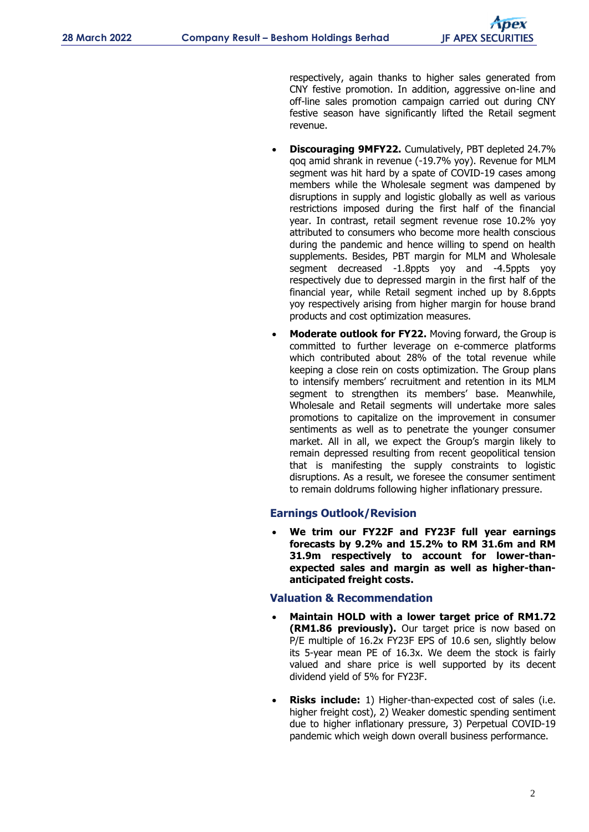respectively, again thanks to higher sales generated from CNY festive promotion. In addition, aggressive on-line and off-line sales promotion campaign carried out during CNY festive season have significantly lifted the Retail segment revenue.

- **Discouraging 9MFY22.** Cumulatively, PBT depleted 24.7% qoq amid shrank in revenue (-19.7% yoy). Revenue for MLM segment was hit hard by a spate of COVID-19 cases among members while the Wholesale segment was dampened by disruptions in supply and logistic globally as well as various restrictions imposed during the first half of the financial year. In contrast, retail segment revenue rose 10.2% yoy attributed to consumers who become more health conscious during the pandemic and hence willing to spend on health supplements. Besides, PBT margin for MLM and Wholesale segment decreased -1.8ppts yoy and -4.5ppts yoy respectively due to depressed margin in the first half of the financial year, while Retail segment inched up by 8.6ppts yoy respectively arising from higher margin for house brand products and cost optimization measures.
- **Moderate outlook for FY22.** Moving forward, the Group is committed to further leverage on e-commerce platforms which contributed about 28% of the total revenue while keeping a close rein on costs optimization. The Group plans to intensify members' recruitment and retention in its MLM segment to strengthen its members' base. Meanwhile, Wholesale and Retail segments will undertake more sales promotions to capitalize on the improvement in consumer sentiments as well as to penetrate the younger consumer market. All in all, we expect the Group's margin likely to remain depressed resulting from recent geopolitical tension that is manifesting the supply constraints to logistic disruptions. As a result, we foresee the consumer sentiment to remain doldrums following higher inflationary pressure.

### **Earnings Outlook/Revision**

 **We trim our FY22F and FY23F full year earnings forecasts by 9.2% and 15.2% to RM 31.6m and RM 31.9m respectively to account for lower-thanexpected sales and margin as well as higher-thananticipated freight costs.** 

### **Valuation & Recommendation**

- **Maintain HOLD with a lower target price of RM1.72 (RM1.86 previously).** Our target price is now based on P/E multiple of 16.2x FY23F EPS of 10.6 sen, slightly below its 5-year mean PE of 16.3x. We deem the stock is fairly valued and share price is well supported by its decent dividend yield of 5% for FY23F.
- **Risks include:** 1) Higher-than-expected cost of sales (i.e. higher freight cost), 2) Weaker domestic spending sentiment due to higher inflationary pressure, 3) Perpetual COVID-19 pandemic which weigh down overall business performance.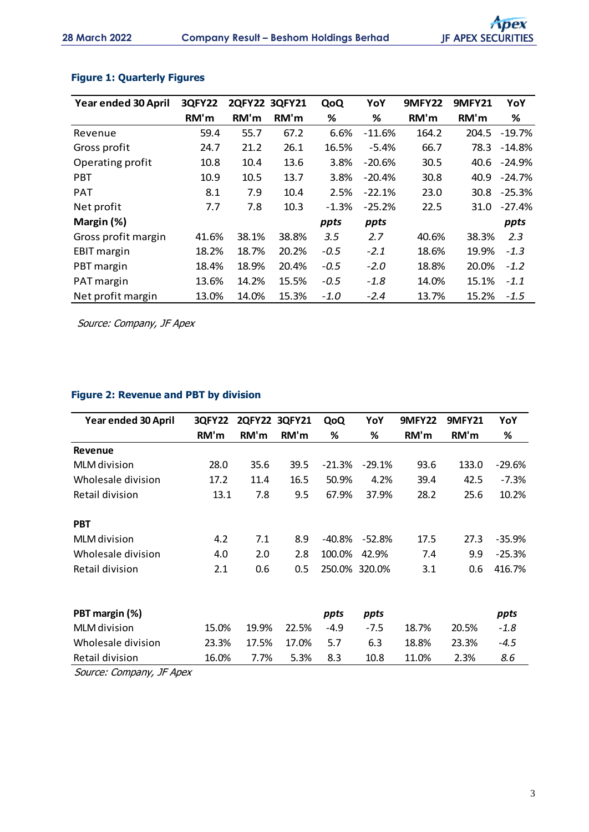| Year ended 30 April | <b>3QFY22</b> | 2QFY22 3QFY21 |       | QoQ     | YoY      | <b>9MFY22</b> | <b>9MFY21</b> | YoY      |
|---------------------|---------------|---------------|-------|---------|----------|---------------|---------------|----------|
|                     | RM'm          | RM'm          | RM'm  | %       | %        | RM'm          | RM'm          | %        |
| Revenue             | 59.4          | 55.7          | 67.2  | 6.6%    | $-11.6%$ | 164.2         | 204.5         | -19.7%   |
| Gross profit        | 24.7          | 21.2          | 26.1  | 16.5%   | $-5.4%$  | 66.7          | 78.3          | $-14.8%$ |
| Operating profit    | 10.8          | 10.4          | 13.6  | 3.8%    | $-20.6%$ | 30.5          | 40.6          | -24.9%   |
| <b>PBT</b>          | 10.9          | 10.5          | 13.7  | 3.8%    | $-20.4%$ | 30.8          | 40.9          | -24.7%   |
| <b>PAT</b>          | 8.1           | 7.9           | 10.4  | 2.5%    | $-22.1%$ | 23.0          | 30.8          | -25.3%   |
| Net profit          | 7.7           | 7.8           | 10.3  | $-1.3%$ | $-25.2%$ | 22.5          | 31.0          | $-27.4%$ |
| Margin (%)          |               |               |       | ppts    | ppts     |               |               | ppts     |
| Gross profit margin | 41.6%         | 38.1%         | 38.8% | 3.5     | 2.7      | 40.6%         | 38.3%         | 2.3      |
| <b>EBIT</b> margin  | 18.2%         | 18.7%         | 20.2% | $-0.5$  | $-2.1$   | 18.6%         | 19.9%         | $-1.3$   |
| PBT margin          | 18.4%         | 18.9%         | 20.4% | $-0.5$  | $-2.0$   | 18.8%         | 20.0%         | $-1.2$   |
| PAT margin          | 13.6%         | 14.2%         | 15.5% | $-0.5$  | $-1.8$   | 14.0%         | 15.1%         | $-1.1$   |
| Net profit margin   | 13.0%         | 14.0%         | 15.3% | $-1.0$  | $-2.4$   | 13.7%         | 15.2%         | $-1.5$   |

# **Figure 1: Quarterly Figures**

Source: Company, JF Apex

# **Figure 2: Revenue and PBT by division**

| Year ended 30 April | <b>3QFY22</b> |       | 2QFY22 3QFY21 | QoQ      | YoY      | <b>9MFY22</b> | <b>9MFY21</b> | YoY      |
|---------------------|---------------|-------|---------------|----------|----------|---------------|---------------|----------|
|                     | RM'm          | RM'm  | RM'm          | %        | %        | RM'm          | RM'm          | %        |
| <b>Revenue</b>      |               |       |               |          |          |               |               |          |
| <b>MLM</b> division | 28.0          | 35.6  | 39.5          | $-21.3%$ | $-29.1%$ | 93.6          | 133.0         | $-29.6%$ |
| Wholesale division  | 17.2          | 11.4  | 16.5          | 50.9%    | 4.2%     | 39.4          | 42.5          | $-7.3%$  |
| Retail division     | 13.1          | 7.8   | 9.5           | 67.9%    | 37.9%    | 28.2          | 25.6          | 10.2%    |
| <b>PBT</b>          |               |       |               |          |          |               |               |          |
| MLM division        | 4.2           | 7.1   | 8.9           | -40.8%   | $-52.8%$ | 17.5          | 27.3          | $-35.9%$ |
| Wholesale division  | 4.0           | 2.0   | 2.8           | 100.0%   | 42.9%    | 7.4           | 9.9           | $-25.3%$ |
| Retail division     | 2.1           | 0.6   | 0.5           | 250.0%   | 320.0%   | 3.1           | 0.6           | 416.7%   |
|                     |               |       |               |          |          |               |               |          |
| PBT margin (%)      |               |       |               | ppts     | ppts     |               |               | ppts     |
| <b>MLM</b> division | 15.0%         | 19.9% | 22.5%         | $-4.9$   | $-7.5$   | 18.7%         | 20.5%         | $-1.8$   |
| Wholesale division  | 23.3%         | 17.5% | 17.0%         | 5.7      | 6.3      | 18.8%         | 23.3%         | $-4.5$   |
| Retail division     | 16.0%         | 7.7%  | 5.3%          | 8.3      | 10.8     | 11.0%         | 2.3%          | 8.6      |

Source: Company, JF Apex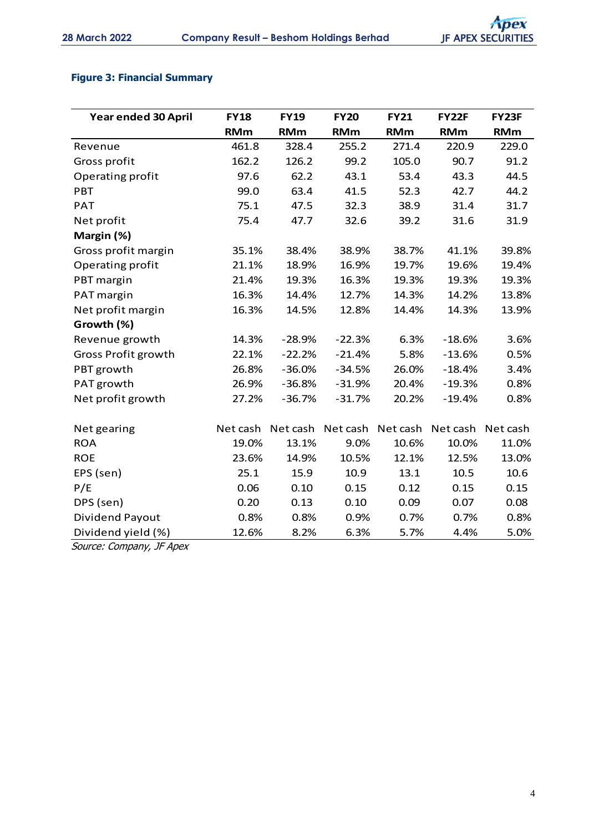# **Figure 3: Financial Summary**

| Year ended 30 April | <b>FY18</b> | <b>FY19</b> | <b>FY20</b> | <b>FY21</b> | <b>FY22F</b> | FY23F      |
|---------------------|-------------|-------------|-------------|-------------|--------------|------------|
|                     | <b>RMm</b>  | <b>RMm</b>  | <b>RMm</b>  | <b>RMm</b>  | <b>RMm</b>   | <b>RMm</b> |
| Revenue             | 461.8       | 328.4       | 255.2       | 271.4       | 220.9        | 229.0      |
| Gross profit        | 162.2       | 126.2       | 99.2        | 105.0       | 90.7         | 91.2       |
| Operating profit    | 97.6        | 62.2        | 43.1        | 53.4        | 43.3         | 44.5       |
| <b>PBT</b>          | 99.0        | 63.4        | 41.5        | 52.3        | 42.7         | 44.2       |
| <b>PAT</b>          | 75.1        | 47.5        | 32.3        | 38.9        | 31.4         | 31.7       |
| Net profit          | 75.4        | 47.7        | 32.6        | 39.2        | 31.6         | 31.9       |
| Margin (%)          |             |             |             |             |              |            |
| Gross profit margin | 35.1%       | 38.4%       | 38.9%       | 38.7%       | 41.1%        | 39.8%      |
| Operating profit    | 21.1%       | 18.9%       | 16.9%       | 19.7%       | 19.6%        | 19.4%      |
| PBT margin          | 21.4%       | 19.3%       | 16.3%       | 19.3%       | 19.3%        | 19.3%      |
| PAT margin          | 16.3%       | 14.4%       | 12.7%       | 14.3%       | 14.2%        | 13.8%      |
| Net profit margin   | 16.3%       | 14.5%       | 12.8%       | 14.4%       | 14.3%        | 13.9%      |
| Growth (%)          |             |             |             |             |              |            |
| Revenue growth      | 14.3%       | $-28.9%$    | $-22.3%$    | 6.3%        | $-18.6%$     | 3.6%       |
| Gross Profit growth | 22.1%       | $-22.2%$    | $-21.4%$    | 5.8%        | $-13.6%$     | 0.5%       |
| PBT growth          | 26.8%       | $-36.0%$    | $-34.5%$    | 26.0%       | $-18.4%$     | 3.4%       |
| PAT growth          | 26.9%       | $-36.8%$    | $-31.9%$    | 20.4%       | $-19.3%$     | 0.8%       |
| Net profit growth   | 27.2%       | $-36.7%$    | $-31.7%$    | 20.2%       | $-19.4%$     | 0.8%       |
|                     |             |             |             |             |              |            |
| Net gearing         | Net cash    | Net cash    | Net cash    | Net cash    | Net cash     | Net cash   |
| <b>ROA</b>          | 19.0%       | 13.1%       | 9.0%        | 10.6%       | 10.0%        | 11.0%      |
| <b>ROE</b>          | 23.6%       | 14.9%       | 10.5%       | 12.1%       | 12.5%        | 13.0%      |
| EPS (sen)           | 25.1        | 15.9        | 10.9        | 13.1        | 10.5         | 10.6       |
| P/E                 | 0.06        | 0.10        | 0.15        | 0.12        | 0.15         | 0.15       |
| DPS (sen)           | 0.20        | 0.13        | 0.10        | 0.09        | 0.07         | 0.08       |
| Dividend Payout     | 0.8%        | 0.8%        | 0.9%        | 0.7%        | 0.7%         | 0.8%       |
| Dividend yield (%)  | 12.6%       | 8.2%        | 6.3%        | 5.7%        | 4.4%         | 5.0%       |

Source: Company, JF Apex